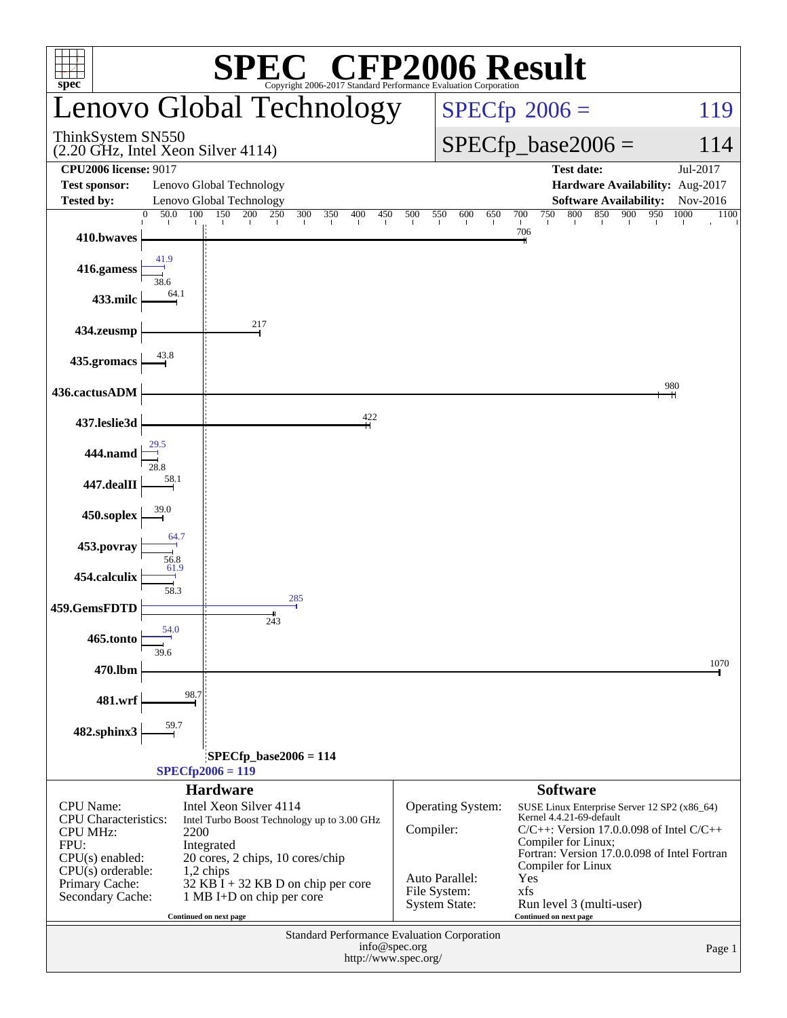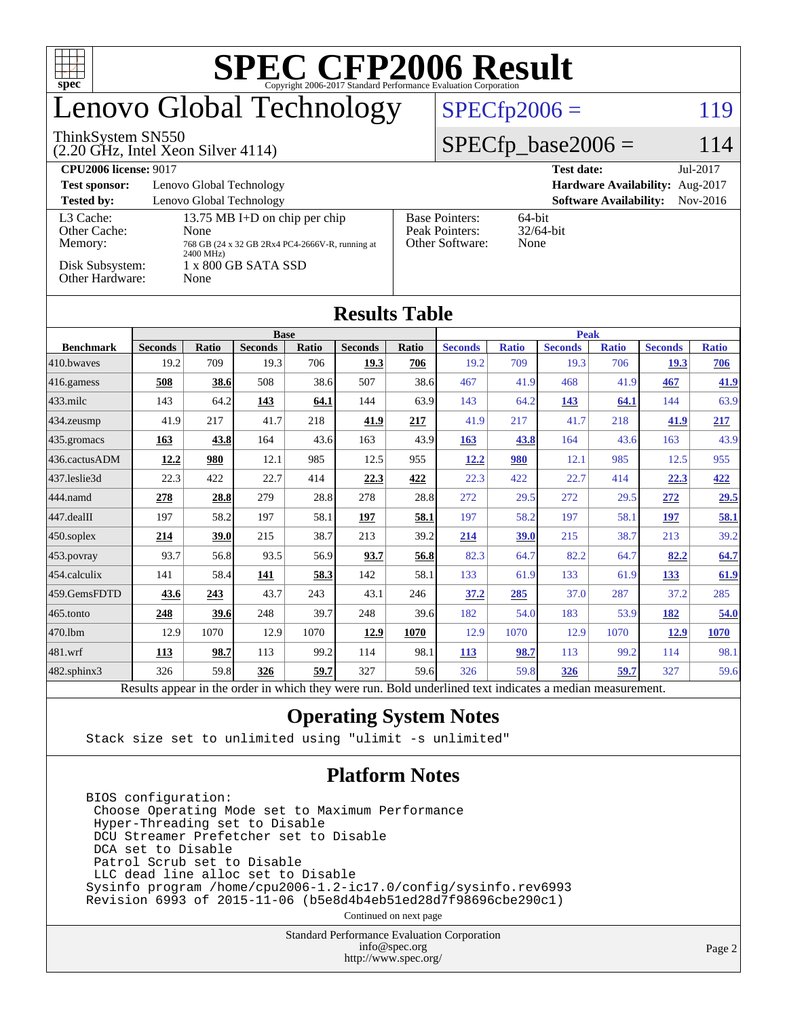| <b>SPEC CFP2006 Result</b><br>ĦТ<br>$spec^*$<br>Convright 2006-2017 Standard Performance Evaluation Cornoration |                                                         |              |                |       |                      |                                                                |                         |              |                   |              |                |              |  |
|-----------------------------------------------------------------------------------------------------------------|---------------------------------------------------------|--------------|----------------|-------|----------------------|----------------------------------------------------------------|-------------------------|--------------|-------------------|--------------|----------------|--------------|--|
| Lenovo Global Technology                                                                                        |                                                         |              |                |       |                      |                                                                | $SPECfp2006 =$<br>119   |              |                   |              |                |              |  |
| ThinkSystem SN550<br>$(2.20 \text{ GHz}, \text{Intel Xeon Silver } 4114)$                                       |                                                         |              |                |       |                      |                                                                | $SPECfp\_base2006 =$    |              |                   |              |                | 114          |  |
| <b>CPU2006 license: 9017</b>                                                                                    |                                                         |              |                |       |                      |                                                                |                         |              | <b>Test date:</b> |              |                | Jul-2017     |  |
| Hardware Availability: Aug-2017<br><b>Test sponsor:</b><br>Lenovo Global Technology                             |                                                         |              |                |       |                      |                                                                |                         |              |                   |              |                |              |  |
| <b>Tested by:</b><br>Lenovo Global Technology<br><b>Software Availability:</b><br>Nov-2016                      |                                                         |              |                |       |                      |                                                                |                         |              |                   |              |                |              |  |
| L <sub>3</sub> Cache:<br>Other Cache:                                                                           | 13.75 MB I+D on chip per chip                           |              |                |       |                      | 64-bit<br><b>Base Pointers:</b><br>Peak Pointers:<br>32/64-bit |                         |              |                   |              |                |              |  |
| Memory:                                                                                                         | None<br>768 GB (24 x 32 GB 2Rx4 PC4-2666V-R, running at |              |                |       |                      |                                                                | Other Software:<br>None |              |                   |              |                |              |  |
| 2400 MHz)<br>Disk Subsystem:<br>1 x 800 GB SATA SSD                                                             |                                                         |              |                |       |                      |                                                                |                         |              |                   |              |                |              |  |
| Other Hardware:<br>None                                                                                         |                                                         |              |                |       |                      |                                                                |                         |              |                   |              |                |              |  |
|                                                                                                                 |                                                         |              |                |       |                      |                                                                |                         |              |                   |              |                |              |  |
|                                                                                                                 |                                                         |              |                |       | <b>Results Table</b> |                                                                |                         |              |                   |              |                |              |  |
|                                                                                                                 | <b>Base</b>                                             |              |                |       |                      |                                                                |                         |              | <b>Peak</b>       |              |                |              |  |
| <b>Benchmark</b>                                                                                                | <b>Seconds</b>                                          | <b>Ratio</b> | <b>Seconds</b> | Ratio | <b>Seconds</b>       | Ratio                                                          | <b>Seconds</b>          | <b>Ratio</b> | <b>Seconds</b>    | <b>Ratio</b> | <b>Seconds</b> | <b>Ratio</b> |  |
| 410.bwaves                                                                                                      | 19.2                                                    | 709          | 19.3           | 706   | 19.3                 | 706                                                            | 19.2                    | 709          | 19.3              | 706          | <b>19.3</b>    | 706          |  |
| 416.gamess                                                                                                      | 508                                                     | 38.6         | 508            | 38.6  | 507                  | 38.6                                                           | 467                     | 41.9         | 468               | 41.9         | 467            | 41.9         |  |
| 433.milc                                                                                                        | 143                                                     | 64.2         | 143            | 64.1  | 144                  | 63.9                                                           | 143                     | 64.2         | 143               | 64.1         | 144            | 63.9         |  |
| 434.zeusmp                                                                                                      | 41.9                                                    | 217          | 41.7           | 218   | 41.9                 | 217                                                            | 41.9                    | 217          | 41.7              | 218          | 41.9           | 217          |  |
| 435.gromacs                                                                                                     | 163                                                     | 43.8         | 164            | 43.6  | 163                  | 43.9                                                           | 163                     | 43.8         | 164               | 43.6         | 163            | 43.9         |  |
| 436.cactusADM                                                                                                   | 12.2                                                    | 980          | 12.1           | 985   | 12.5                 | 955                                                            | 12.2                    | 980          | 12.1              | 985          | 12.5           | 955          |  |
| 437.leslie3d                                                                                                    | 22.3                                                    | 422          | 22.7           | 414   | <u>22.3</u>          | 422                                                            | 22.3                    | 422          | 22.7              | 414          | 22.3           | 422          |  |
| 444.namd                                                                                                        | 278                                                     | 28.8         | 279            | 28.8  | 278                  | 28.8                                                           | 272                     | 29.5         | 272               | 29.5         | 272            | 29.5         |  |
| 447.dealII                                                                                                      | 197                                                     | 58.2         | 197            | 58.1  | 197                  | 58.1                                                           | 197                     | 58.2         | 197               | 58.1         | 197            | 58.1         |  |
| 450.soplex                                                                                                      | 214                                                     | 39.0         | 215            | 38.7  | 213                  | 39.2                                                           | 214                     | 39.0         | 215               | 38.7         | 213            | 39.2         |  |
| 453.povray                                                                                                      | 93.7                                                    | 56.8         | 93.5           | 56.9  | 93.7                 | 56.8                                                           | 82.3                    | 64.7         | 82.2              | 64.7         | 82.2           | 64.7         |  |
| 454.calculix                                                                                                    | 141                                                     | 58.4         | 141            | 58.3  | 142                  | 58.1                                                           | 133                     | 61.9         | 133               | 61.9         | 133            | 61.9         |  |
| 459.GemsFDTD                                                                                                    | 43.6                                                    | 243          | 43.7           | 243   | 43.1                 | 246                                                            | 37.2                    | 285          | 37.0              | 287          | 37.2           | 285          |  |
| 465.tonto                                                                                                       | 248                                                     | 39.6         | 248            | 39.7  | 248                  | 39.6                                                           | 182                     | 54.0         | 183               | 53.9         | 182            | 54.0         |  |
| 470.1bm                                                                                                         | 12.9                                                    | 1070         | 12.9           | 1070  | 12.9                 | 1070                                                           | 12.9                    | 1070         | 12.9              | 1070         | 12.9           | 1070         |  |
| 481.wrf                                                                                                         | 113                                                     | 98.7         | 113            | 99.2  | 114                  | 98.1                                                           | 113                     | 98.7         | 113               | 99.2         | 114            | 98.1         |  |
| $ 482$ .sphinx $3$                                                                                              | 326                                                     | 59.8         | 326            | 59.7  | 327                  | 59.6                                                           | 326                     | 59.8         | 326               | 59.7         | 327            | 59.6         |  |

Results appear in the [order in which they were run.](http://www.spec.org/auto/cpu2006/Docs/result-fields.html#RunOrder) Bold underlined text [indicates a median measurement.](http://www.spec.org/auto/cpu2006/Docs/result-fields.html#Median)

#### **[Operating System Notes](http://www.spec.org/auto/cpu2006/Docs/result-fields.html#OperatingSystemNotes)**

Stack size set to unlimited using "ulimit -s unlimited"

### **[Platform Notes](http://www.spec.org/auto/cpu2006/Docs/result-fields.html#PlatformNotes)**

 BIOS configuration: Choose Operating Mode set to Maximum Performance Hyper-Threading set to Disable DCU Streamer Prefetcher set to Disable DCA set to Disable Patrol Scrub set to Disable LLC dead line alloc set to Disable Sysinfo program /home/cpu2006-1.2-ic17.0/config/sysinfo.rev6993 Revision 6993 of 2015-11-06 (b5e8d4b4eb51ed28d7f98696cbe290c1)

Continued on next page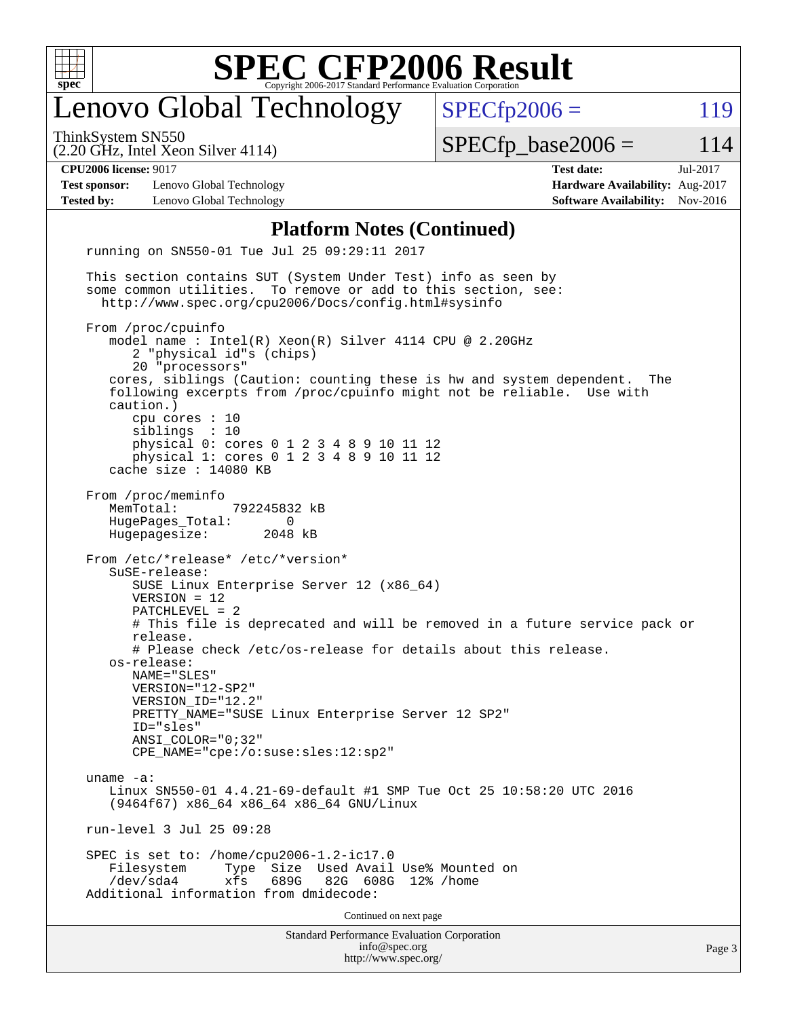

# enovo Global Technology

ThinkSystem SN550

(2.20 GHz, Intel Xeon Silver 4114)

 $SPECTp2006 = 119$ 

 $SPECTp\_base2006 = 114$ 

**[Test sponsor:](http://www.spec.org/auto/cpu2006/Docs/result-fields.html#Testsponsor)** Lenovo Global Technology **[Hardware Availability:](http://www.spec.org/auto/cpu2006/Docs/result-fields.html#HardwareAvailability)** Aug-2017 **[Tested by:](http://www.spec.org/auto/cpu2006/Docs/result-fields.html#Testedby)** Lenovo Global Technology **[Software Availability:](http://www.spec.org/auto/cpu2006/Docs/result-fields.html#SoftwareAvailability)** Nov-2016

**[CPU2006 license:](http://www.spec.org/auto/cpu2006/Docs/result-fields.html#CPU2006license)** 9017 **[Test date:](http://www.spec.org/auto/cpu2006/Docs/result-fields.html#Testdate)** Jul-2017

#### **[Platform Notes \(Continued\)](http://www.spec.org/auto/cpu2006/Docs/result-fields.html#PlatformNotes)**

Standard Performance Evaluation Corporation [info@spec.org](mailto:info@spec.org) <http://www.spec.org/> Page 3 running on SN550-01 Tue Jul 25 09:29:11 2017 This section contains SUT (System Under Test) info as seen by some common utilities. To remove or add to this section, see: <http://www.spec.org/cpu2006/Docs/config.html#sysinfo> From /proc/cpuinfo model name : Intel(R) Xeon(R) Silver 4114 CPU @ 2.20GHz 2 "physical id"s (chips) 20 "processors" cores, siblings (Caution: counting these is hw and system dependent. The following excerpts from /proc/cpuinfo might not be reliable. Use with caution.) cpu cores : 10 siblings : 10 physical 0: cores 0 1 2 3 4 8 9 10 11 12 physical 1: cores 0 1 2 3 4 8 9 10 11 12 cache size : 14080 KB From /proc/meminfo MemTotal: 792245832 kB HugePages\_Total: 0<br>Hugepagesize: 2048 kB Hugepagesize: From /etc/\*release\* /etc/\*version\* SuSE-release: SUSE Linux Enterprise Server 12 (x86\_64) VERSION = 12 PATCHLEVEL = 2 # This file is deprecated and will be removed in a future service pack or release. # Please check /etc/os-release for details about this release. os-release: NAME="SLES" VERSION="12-SP2" VERSION\_ID="12.2" PRETTY\_NAME="SUSE Linux Enterprise Server 12 SP2" ID="sles" ANSI\_COLOR="0;32" CPE\_NAME="cpe:/o:suse:sles:12:sp2" uname -a: Linux SN550-01 4.4.21-69-default #1 SMP Tue Oct 25 10:58:20 UTC 2016 (9464f67) x86\_64 x86\_64 x86\_64 GNU/Linux run-level 3 Jul 25 09:28 SPEC is set to: /home/cpu2006-1.2-ic17.0 Filesystem Type Size Used Avail Use% Mounted on<br>
/dev/sda4 xfs 689G 82G 608G 12% /home 82G 608G 12% /home Additional information from dmidecode: Continued on next page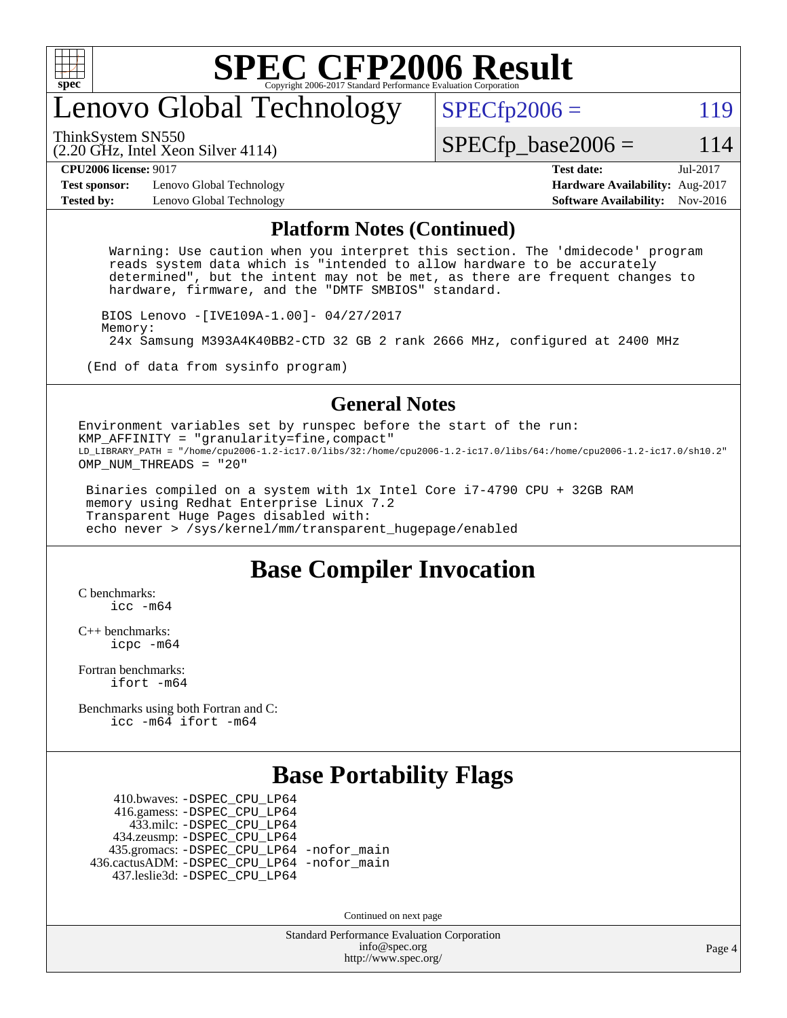

# enovo Global Technology

ThinkSystem SN550

 $SPECTp2006 = 119$ 

(2.20 GHz, Intel Xeon Silver 4114)

 $SPECTp\_base2006 = 114$ 

**[Test sponsor:](http://www.spec.org/auto/cpu2006/Docs/result-fields.html#Testsponsor)** Lenovo Global Technology **[Hardware Availability:](http://www.spec.org/auto/cpu2006/Docs/result-fields.html#HardwareAvailability)** Aug-2017 **[Tested by:](http://www.spec.org/auto/cpu2006/Docs/result-fields.html#Testedby)** Lenovo Global Technology **[Software Availability:](http://www.spec.org/auto/cpu2006/Docs/result-fields.html#SoftwareAvailability)** Nov-2016

**[CPU2006 license:](http://www.spec.org/auto/cpu2006/Docs/result-fields.html#CPU2006license)** 9017 **[Test date:](http://www.spec.org/auto/cpu2006/Docs/result-fields.html#Testdate)** Jul-2017

#### **[Platform Notes \(Continued\)](http://www.spec.org/auto/cpu2006/Docs/result-fields.html#PlatformNotes)**

 Warning: Use caution when you interpret this section. The 'dmidecode' program reads system data which is "intended to allow hardware to be accurately determined", but the intent may not be met, as there are frequent changes to hardware, firmware, and the "DMTF SMBIOS" standard.

 BIOS Lenovo -[IVE109A-1.00]- 04/27/2017 Memory: 24x Samsung M393A4K40BB2-CTD 32 GB 2 rank 2666 MHz, configured at 2400 MHz

(End of data from sysinfo program)

#### **[General Notes](http://www.spec.org/auto/cpu2006/Docs/result-fields.html#GeneralNotes)**

Environment variables set by runspec before the start of the run: KMP\_AFFINITY = "granularity=fine,compact" LD\_LIBRARY\_PATH = "/home/cpu2006-1.2-ic17.0/libs/32:/home/cpu2006-1.2-ic17.0/libs/64:/home/cpu2006-1.2-ic17.0/sh10.2" OMP NUM THREADS = "20"

 Binaries compiled on a system with 1x Intel Core i7-4790 CPU + 32GB RAM memory using Redhat Enterprise Linux 7.2 Transparent Huge Pages disabled with: echo never > /sys/kernel/mm/transparent\_hugepage/enabled

### **[Base Compiler Invocation](http://www.spec.org/auto/cpu2006/Docs/result-fields.html#BaseCompilerInvocation)**

[C benchmarks](http://www.spec.org/auto/cpu2006/Docs/result-fields.html#Cbenchmarks): [icc -m64](http://www.spec.org/cpu2006/results/res2017q4/cpu2006-20170918-50068.flags.html#user_CCbase_intel_icc_64bit_bda6cc9af1fdbb0edc3795bac97ada53)

[C++ benchmarks:](http://www.spec.org/auto/cpu2006/Docs/result-fields.html#CXXbenchmarks) [icpc -m64](http://www.spec.org/cpu2006/results/res2017q4/cpu2006-20170918-50068.flags.html#user_CXXbase_intel_icpc_64bit_fc66a5337ce925472a5c54ad6a0de310)

[Fortran benchmarks](http://www.spec.org/auto/cpu2006/Docs/result-fields.html#Fortranbenchmarks): [ifort -m64](http://www.spec.org/cpu2006/results/res2017q4/cpu2006-20170918-50068.flags.html#user_FCbase_intel_ifort_64bit_ee9d0fb25645d0210d97eb0527dcc06e)

[Benchmarks using both Fortran and C](http://www.spec.org/auto/cpu2006/Docs/result-fields.html#BenchmarksusingbothFortranandC): [icc -m64](http://www.spec.org/cpu2006/results/res2017q4/cpu2006-20170918-50068.flags.html#user_CC_FCbase_intel_icc_64bit_bda6cc9af1fdbb0edc3795bac97ada53) [ifort -m64](http://www.spec.org/cpu2006/results/res2017q4/cpu2006-20170918-50068.flags.html#user_CC_FCbase_intel_ifort_64bit_ee9d0fb25645d0210d97eb0527dcc06e)

### **[Base Portability Flags](http://www.spec.org/auto/cpu2006/Docs/result-fields.html#BasePortabilityFlags)**

 410.bwaves: [-DSPEC\\_CPU\\_LP64](http://www.spec.org/cpu2006/results/res2017q4/cpu2006-20170918-50068.flags.html#suite_basePORTABILITY410_bwaves_DSPEC_CPU_LP64) 416.gamess: [-DSPEC\\_CPU\\_LP64](http://www.spec.org/cpu2006/results/res2017q4/cpu2006-20170918-50068.flags.html#suite_basePORTABILITY416_gamess_DSPEC_CPU_LP64) 433.milc: [-DSPEC\\_CPU\\_LP64](http://www.spec.org/cpu2006/results/res2017q4/cpu2006-20170918-50068.flags.html#suite_basePORTABILITY433_milc_DSPEC_CPU_LP64) 434.zeusmp: [-DSPEC\\_CPU\\_LP64](http://www.spec.org/cpu2006/results/res2017q4/cpu2006-20170918-50068.flags.html#suite_basePORTABILITY434_zeusmp_DSPEC_CPU_LP64) 435.gromacs: [-DSPEC\\_CPU\\_LP64](http://www.spec.org/cpu2006/results/res2017q4/cpu2006-20170918-50068.flags.html#suite_basePORTABILITY435_gromacs_DSPEC_CPU_LP64) [-nofor\\_main](http://www.spec.org/cpu2006/results/res2017q4/cpu2006-20170918-50068.flags.html#user_baseLDPORTABILITY435_gromacs_f-nofor_main) 436.cactusADM: [-DSPEC\\_CPU\\_LP64](http://www.spec.org/cpu2006/results/res2017q4/cpu2006-20170918-50068.flags.html#suite_basePORTABILITY436_cactusADM_DSPEC_CPU_LP64) [-nofor\\_main](http://www.spec.org/cpu2006/results/res2017q4/cpu2006-20170918-50068.flags.html#user_baseLDPORTABILITY436_cactusADM_f-nofor_main) 437.leslie3d: [-DSPEC\\_CPU\\_LP64](http://www.spec.org/cpu2006/results/res2017q4/cpu2006-20170918-50068.flags.html#suite_basePORTABILITY437_leslie3d_DSPEC_CPU_LP64)

Continued on next page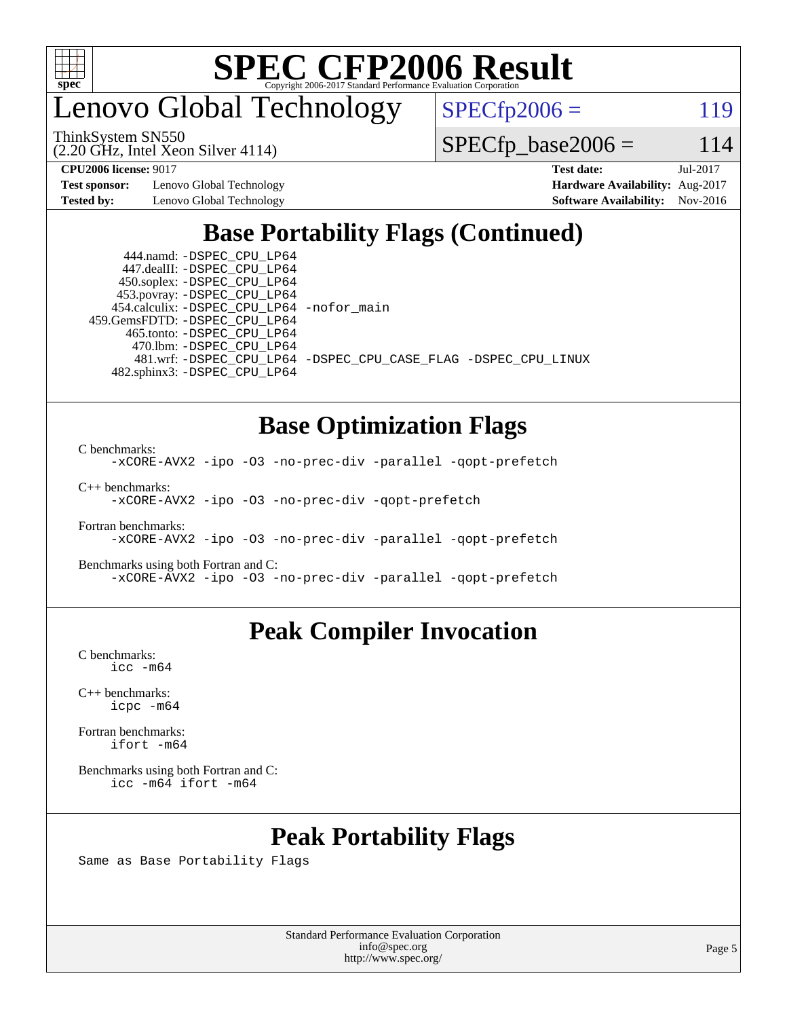

enovo Global Technology

ThinkSystem SN550

(2.20 GHz, Intel Xeon Silver 4114)

 $SPECTp2006 = 119$ 

 $SPECTp\_base2006 = 114$ 

**[Test sponsor:](http://www.spec.org/auto/cpu2006/Docs/result-fields.html#Testsponsor)** Lenovo Global Technology **[Hardware Availability:](http://www.spec.org/auto/cpu2006/Docs/result-fields.html#HardwareAvailability)** Aug-2017

**[CPU2006 license:](http://www.spec.org/auto/cpu2006/Docs/result-fields.html#CPU2006license)** 9017 **[Test date:](http://www.spec.org/auto/cpu2006/Docs/result-fields.html#Testdate)** Jul-2017 **[Tested by:](http://www.spec.org/auto/cpu2006/Docs/result-fields.html#Testedby)** Lenovo Global Technology **[Software Availability:](http://www.spec.org/auto/cpu2006/Docs/result-fields.html#SoftwareAvailability)** Nov-2016

# **[Base Portability Flags \(Continued\)](http://www.spec.org/auto/cpu2006/Docs/result-fields.html#BasePortabilityFlags)**

 444.namd: [-DSPEC\\_CPU\\_LP64](http://www.spec.org/cpu2006/results/res2017q4/cpu2006-20170918-50068.flags.html#suite_basePORTABILITY444_namd_DSPEC_CPU_LP64) 447.dealII: [-DSPEC\\_CPU\\_LP64](http://www.spec.org/cpu2006/results/res2017q4/cpu2006-20170918-50068.flags.html#suite_basePORTABILITY447_dealII_DSPEC_CPU_LP64) 450.soplex: [-DSPEC\\_CPU\\_LP64](http://www.spec.org/cpu2006/results/res2017q4/cpu2006-20170918-50068.flags.html#suite_basePORTABILITY450_soplex_DSPEC_CPU_LP64) 453.povray: [-DSPEC\\_CPU\\_LP64](http://www.spec.org/cpu2006/results/res2017q4/cpu2006-20170918-50068.flags.html#suite_basePORTABILITY453_povray_DSPEC_CPU_LP64) 454.calculix: [-DSPEC\\_CPU\\_LP64](http://www.spec.org/cpu2006/results/res2017q4/cpu2006-20170918-50068.flags.html#suite_basePORTABILITY454_calculix_DSPEC_CPU_LP64) [-nofor\\_main](http://www.spec.org/cpu2006/results/res2017q4/cpu2006-20170918-50068.flags.html#user_baseLDPORTABILITY454_calculix_f-nofor_main) 459.GemsFDTD: [-DSPEC\\_CPU\\_LP64](http://www.spec.org/cpu2006/results/res2017q4/cpu2006-20170918-50068.flags.html#suite_basePORTABILITY459_GemsFDTD_DSPEC_CPU_LP64) 465.tonto: [-DSPEC\\_CPU\\_LP64](http://www.spec.org/cpu2006/results/res2017q4/cpu2006-20170918-50068.flags.html#suite_basePORTABILITY465_tonto_DSPEC_CPU_LP64) 470.lbm: [-DSPEC\\_CPU\\_LP64](http://www.spec.org/cpu2006/results/res2017q4/cpu2006-20170918-50068.flags.html#suite_basePORTABILITY470_lbm_DSPEC_CPU_LP64) 482.sphinx3: [-DSPEC\\_CPU\\_LP64](http://www.spec.org/cpu2006/results/res2017q4/cpu2006-20170918-50068.flags.html#suite_basePORTABILITY482_sphinx3_DSPEC_CPU_LP64)

481.wrf: [-DSPEC\\_CPU\\_LP64](http://www.spec.org/cpu2006/results/res2017q4/cpu2006-20170918-50068.flags.html#suite_basePORTABILITY481_wrf_DSPEC_CPU_LP64) [-DSPEC\\_CPU\\_CASE\\_FLAG](http://www.spec.org/cpu2006/results/res2017q4/cpu2006-20170918-50068.flags.html#b481.wrf_baseCPORTABILITY_DSPEC_CPU_CASE_FLAG) [-DSPEC\\_CPU\\_LINUX](http://www.spec.org/cpu2006/results/res2017q4/cpu2006-20170918-50068.flags.html#b481.wrf_baseCPORTABILITY_DSPEC_CPU_LINUX)

### **[Base Optimization Flags](http://www.spec.org/auto/cpu2006/Docs/result-fields.html#BaseOptimizationFlags)**

[C benchmarks](http://www.spec.org/auto/cpu2006/Docs/result-fields.html#Cbenchmarks):

[-xCORE-AVX2](http://www.spec.org/cpu2006/results/res2017q4/cpu2006-20170918-50068.flags.html#user_CCbase_f-xCORE-AVX2) [-ipo](http://www.spec.org/cpu2006/results/res2017q4/cpu2006-20170918-50068.flags.html#user_CCbase_f-ipo) [-O3](http://www.spec.org/cpu2006/results/res2017q4/cpu2006-20170918-50068.flags.html#user_CCbase_f-O3) [-no-prec-div](http://www.spec.org/cpu2006/results/res2017q4/cpu2006-20170918-50068.flags.html#user_CCbase_f-no-prec-div) [-parallel](http://www.spec.org/cpu2006/results/res2017q4/cpu2006-20170918-50068.flags.html#user_CCbase_f-parallel) [-qopt-prefetch](http://www.spec.org/cpu2006/results/res2017q4/cpu2006-20170918-50068.flags.html#user_CCbase_f-qopt-prefetch)

[C++ benchmarks:](http://www.spec.org/auto/cpu2006/Docs/result-fields.html#CXXbenchmarks) [-xCORE-AVX2](http://www.spec.org/cpu2006/results/res2017q4/cpu2006-20170918-50068.flags.html#user_CXXbase_f-xCORE-AVX2) [-ipo](http://www.spec.org/cpu2006/results/res2017q4/cpu2006-20170918-50068.flags.html#user_CXXbase_f-ipo) [-O3](http://www.spec.org/cpu2006/results/res2017q4/cpu2006-20170918-50068.flags.html#user_CXXbase_f-O3) [-no-prec-div](http://www.spec.org/cpu2006/results/res2017q4/cpu2006-20170918-50068.flags.html#user_CXXbase_f-no-prec-div) [-qopt-prefetch](http://www.spec.org/cpu2006/results/res2017q4/cpu2006-20170918-50068.flags.html#user_CXXbase_f-qopt-prefetch)

[Fortran benchmarks](http://www.spec.org/auto/cpu2006/Docs/result-fields.html#Fortranbenchmarks): [-xCORE-AVX2](http://www.spec.org/cpu2006/results/res2017q4/cpu2006-20170918-50068.flags.html#user_FCbase_f-xCORE-AVX2) [-ipo](http://www.spec.org/cpu2006/results/res2017q4/cpu2006-20170918-50068.flags.html#user_FCbase_f-ipo) [-O3](http://www.spec.org/cpu2006/results/res2017q4/cpu2006-20170918-50068.flags.html#user_FCbase_f-O3) [-no-prec-div](http://www.spec.org/cpu2006/results/res2017q4/cpu2006-20170918-50068.flags.html#user_FCbase_f-no-prec-div) [-parallel](http://www.spec.org/cpu2006/results/res2017q4/cpu2006-20170918-50068.flags.html#user_FCbase_f-parallel) [-qopt-prefetch](http://www.spec.org/cpu2006/results/res2017q4/cpu2006-20170918-50068.flags.html#user_FCbase_f-qopt-prefetch)

[Benchmarks using both Fortran and C](http://www.spec.org/auto/cpu2006/Docs/result-fields.html#BenchmarksusingbothFortranandC): [-xCORE-AVX2](http://www.spec.org/cpu2006/results/res2017q4/cpu2006-20170918-50068.flags.html#user_CC_FCbase_f-xCORE-AVX2) [-ipo](http://www.spec.org/cpu2006/results/res2017q4/cpu2006-20170918-50068.flags.html#user_CC_FCbase_f-ipo) [-O3](http://www.spec.org/cpu2006/results/res2017q4/cpu2006-20170918-50068.flags.html#user_CC_FCbase_f-O3) [-no-prec-div](http://www.spec.org/cpu2006/results/res2017q4/cpu2006-20170918-50068.flags.html#user_CC_FCbase_f-no-prec-div) [-parallel](http://www.spec.org/cpu2006/results/res2017q4/cpu2006-20170918-50068.flags.html#user_CC_FCbase_f-parallel) [-qopt-prefetch](http://www.spec.org/cpu2006/results/res2017q4/cpu2006-20170918-50068.flags.html#user_CC_FCbase_f-qopt-prefetch)

### **[Peak Compiler Invocation](http://www.spec.org/auto/cpu2006/Docs/result-fields.html#PeakCompilerInvocation)**

[C benchmarks](http://www.spec.org/auto/cpu2006/Docs/result-fields.html#Cbenchmarks): [icc -m64](http://www.spec.org/cpu2006/results/res2017q4/cpu2006-20170918-50068.flags.html#user_CCpeak_intel_icc_64bit_bda6cc9af1fdbb0edc3795bac97ada53)

[C++ benchmarks:](http://www.spec.org/auto/cpu2006/Docs/result-fields.html#CXXbenchmarks) [icpc -m64](http://www.spec.org/cpu2006/results/res2017q4/cpu2006-20170918-50068.flags.html#user_CXXpeak_intel_icpc_64bit_fc66a5337ce925472a5c54ad6a0de310)

[Fortran benchmarks](http://www.spec.org/auto/cpu2006/Docs/result-fields.html#Fortranbenchmarks): [ifort -m64](http://www.spec.org/cpu2006/results/res2017q4/cpu2006-20170918-50068.flags.html#user_FCpeak_intel_ifort_64bit_ee9d0fb25645d0210d97eb0527dcc06e)

[Benchmarks using both Fortran and C](http://www.spec.org/auto/cpu2006/Docs/result-fields.html#BenchmarksusingbothFortranandC): [icc -m64](http://www.spec.org/cpu2006/results/res2017q4/cpu2006-20170918-50068.flags.html#user_CC_FCpeak_intel_icc_64bit_bda6cc9af1fdbb0edc3795bac97ada53) [ifort -m64](http://www.spec.org/cpu2006/results/res2017q4/cpu2006-20170918-50068.flags.html#user_CC_FCpeak_intel_ifort_64bit_ee9d0fb25645d0210d97eb0527dcc06e)

# **[Peak Portability Flags](http://www.spec.org/auto/cpu2006/Docs/result-fields.html#PeakPortabilityFlags)**

Same as Base Portability Flags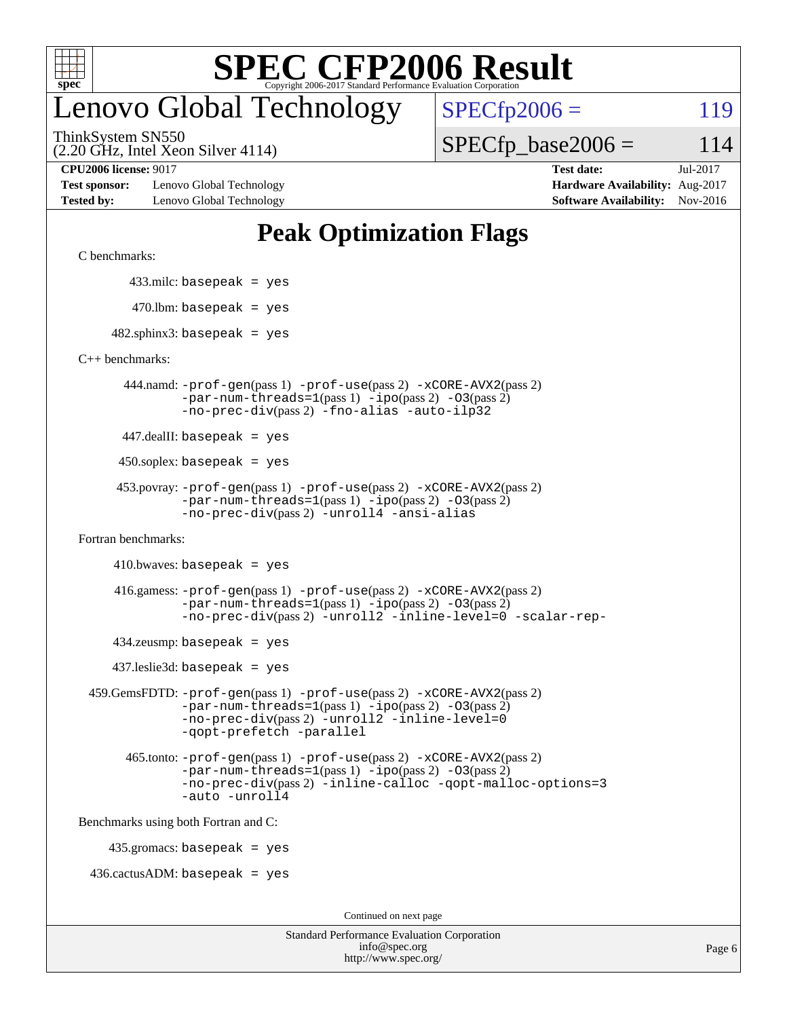

# enovo Global Technology

ThinkSystem SN550

 $SPECTp2006 = 119$ 

(2.20 GHz, Intel Xeon Silver 4114)

 $SPECTp\_base2006 = 114$ 

**[Test sponsor:](http://www.spec.org/auto/cpu2006/Docs/result-fields.html#Testsponsor)** Lenovo Global Technology **[Hardware Availability:](http://www.spec.org/auto/cpu2006/Docs/result-fields.html#HardwareAvailability)** Aug-2017 **[Tested by:](http://www.spec.org/auto/cpu2006/Docs/result-fields.html#Testedby)** Lenovo Global Technology **[Software Availability:](http://www.spec.org/auto/cpu2006/Docs/result-fields.html#SoftwareAvailability)** Nov-2016

**[CPU2006 license:](http://www.spec.org/auto/cpu2006/Docs/result-fields.html#CPU2006license)** 9017 **[Test date:](http://www.spec.org/auto/cpu2006/Docs/result-fields.html#Testdate)** Jul-2017

# **[Peak Optimization Flags](http://www.spec.org/auto/cpu2006/Docs/result-fields.html#PeakOptimizationFlags)**

[C benchmarks](http://www.spec.org/auto/cpu2006/Docs/result-fields.html#Cbenchmarks):

433.milc: basepeak = yes

 $470.$ lbm: basepeak = yes

 $482$ .sphinx3: basepeak = yes

[C++ benchmarks:](http://www.spec.org/auto/cpu2006/Docs/result-fields.html#CXXbenchmarks)

 444.namd: [-prof-gen](http://www.spec.org/cpu2006/results/res2017q4/cpu2006-20170918-50068.flags.html#user_peakPASS1_CXXFLAGSPASS1_LDFLAGS444_namd_prof_gen_e43856698f6ca7b7e442dfd80e94a8fc)(pass 1) [-prof-use](http://www.spec.org/cpu2006/results/res2017q4/cpu2006-20170918-50068.flags.html#user_peakPASS2_CXXFLAGSPASS2_LDFLAGS444_namd_prof_use_bccf7792157ff70d64e32fe3e1250b55)(pass 2) [-xCORE-AVX2](http://www.spec.org/cpu2006/results/res2017q4/cpu2006-20170918-50068.flags.html#user_peakPASS2_CXXFLAGSPASS2_LDFLAGS444_namd_f-xCORE-AVX2)(pass 2)  $-par-num-threads=1(pass 1) -ipo(pass 2) -O3(pass 2)$  $-par-num-threads=1(pass 1) -ipo(pass 2) -O3(pass 2)$  $-par-num-threads=1(pass 1) -ipo(pass 2) -O3(pass 2)$  $-par-num-threads=1(pass 1) -ipo(pass 2) -O3(pass 2)$  $-par-num-threads=1(pass 1) -ipo(pass 2) -O3(pass 2)$  $-par-num-threads=1(pass 1) -ipo(pass 2) -O3(pass 2)$ [-no-prec-div](http://www.spec.org/cpu2006/results/res2017q4/cpu2006-20170918-50068.flags.html#user_peakPASS2_CXXFLAGSPASS2_LDFLAGS444_namd_f-no-prec-div)(pass 2) [-fno-alias](http://www.spec.org/cpu2006/results/res2017q4/cpu2006-20170918-50068.flags.html#user_peakCXXOPTIMIZEOPTIMIZE444_namd_f-no-alias_694e77f6c5a51e658e82ccff53a9e63a) [-auto-ilp32](http://www.spec.org/cpu2006/results/res2017q4/cpu2006-20170918-50068.flags.html#user_peakCXXOPTIMIZE444_namd_f-auto-ilp32)

447.dealII: basepeak = yes

 $450$ .soplex: basepeak = yes

```
 453.povray: -prof-gen(pass 1) -prof-use(pass 2) -xCORE-AVX2(pass 2)
         -par-num-threads=1-ipo-O3(pass 2)-no-prec-div(pass 2) -unroll4 -ansi-alias
```
[Fortran benchmarks](http://www.spec.org/auto/cpu2006/Docs/result-fields.html#Fortranbenchmarks):

 $410.bwaves: basepeak = yes$ 

 416.gamess: [-prof-gen](http://www.spec.org/cpu2006/results/res2017q4/cpu2006-20170918-50068.flags.html#user_peakPASS1_FFLAGSPASS1_LDFLAGS416_gamess_prof_gen_e43856698f6ca7b7e442dfd80e94a8fc)(pass 1) [-prof-use](http://www.spec.org/cpu2006/results/res2017q4/cpu2006-20170918-50068.flags.html#user_peakPASS2_FFLAGSPASS2_LDFLAGS416_gamess_prof_use_bccf7792157ff70d64e32fe3e1250b55)(pass 2) [-xCORE-AVX2](http://www.spec.org/cpu2006/results/res2017q4/cpu2006-20170918-50068.flags.html#user_peakPASS2_FFLAGSPASS2_LDFLAGS416_gamess_f-xCORE-AVX2)(pass 2)  $-par-num-threads=1(pass 1) -ipo(pass 2) -O3(pass 2)$  $-par-num-threads=1(pass 1) -ipo(pass 2) -O3(pass 2)$  $-par-num-threads=1(pass 1) -ipo(pass 2) -O3(pass 2)$  $-par-num-threads=1(pass 1) -ipo(pass 2) -O3(pass 2)$  $-par-num-threads=1(pass 1) -ipo(pass 2) -O3(pass 2)$  $-par-num-threads=1(pass 1) -ipo(pass 2) -O3(pass 2)$ [-no-prec-div](http://www.spec.org/cpu2006/results/res2017q4/cpu2006-20170918-50068.flags.html#user_peakPASS2_FFLAGSPASS2_LDFLAGS416_gamess_f-no-prec-div)(pass 2) [-unroll2](http://www.spec.org/cpu2006/results/res2017q4/cpu2006-20170918-50068.flags.html#user_peakOPTIMIZE416_gamess_f-unroll_784dae83bebfb236979b41d2422d7ec2) [-inline-level=0](http://www.spec.org/cpu2006/results/res2017q4/cpu2006-20170918-50068.flags.html#user_peakOPTIMIZE416_gamess_f-inline-level_318d07a09274ad25e8d15dbfaa68ba50) [-scalar-rep-](http://www.spec.org/cpu2006/results/res2017q4/cpu2006-20170918-50068.flags.html#user_peakOPTIMIZE416_gamess_f-disablescalarrep_abbcad04450fb118e4809c81d83c8a1d)

 $434$ .zeusmp: basepeak = yes

437.leslie3d: basepeak = yes

```
 459.GemsFDTD: -prof-gen(pass 1) -prof-use(pass 2) -xCORE-AVX2(pass 2)
            -par-num-threads=1-ipo-O3(pass 2)-no-prec-div(pass 2) -unroll2 -inline-level=0
            -qopt-prefetch -parallel
```
 465.tonto: [-prof-gen](http://www.spec.org/cpu2006/results/res2017q4/cpu2006-20170918-50068.flags.html#user_peakPASS1_FFLAGSPASS1_LDFLAGS465_tonto_prof_gen_e43856698f6ca7b7e442dfd80e94a8fc)(pass 1) [-prof-use](http://www.spec.org/cpu2006/results/res2017q4/cpu2006-20170918-50068.flags.html#user_peakPASS2_FFLAGSPASS2_LDFLAGS465_tonto_prof_use_bccf7792157ff70d64e32fe3e1250b55)(pass 2) [-xCORE-AVX2](http://www.spec.org/cpu2006/results/res2017q4/cpu2006-20170918-50068.flags.html#user_peakPASS2_FFLAGSPASS2_LDFLAGS465_tonto_f-xCORE-AVX2)(pass 2)  $-par-num-threads=1(pass 1) -ipo(pass 2) -O3(pass 2)$  $-par-num-threads=1(pass 1) -ipo(pass 2) -O3(pass 2)$  $-par-num-threads=1(pass 1) -ipo(pass 2) -O3(pass 2)$  $-par-num-threads=1(pass 1) -ipo(pass 2) -O3(pass 2)$  $-par-num-threads=1(pass 1) -ipo(pass 2) -O3(pass 2)$  $-par-num-threads=1(pass 1) -ipo(pass 2) -O3(pass 2)$ [-no-prec-div](http://www.spec.org/cpu2006/results/res2017q4/cpu2006-20170918-50068.flags.html#user_peakPASS2_FFLAGSPASS2_LDFLAGS465_tonto_f-no-prec-div)(pass 2) [-inline-calloc](http://www.spec.org/cpu2006/results/res2017q4/cpu2006-20170918-50068.flags.html#user_peakOPTIMIZE465_tonto_f-inline-calloc) [-qopt-malloc-options=3](http://www.spec.org/cpu2006/results/res2017q4/cpu2006-20170918-50068.flags.html#user_peakOPTIMIZE465_tonto_f-qopt-malloc-options_0fcb435012e78f27d57f473818e45fe4) [-auto](http://www.spec.org/cpu2006/results/res2017q4/cpu2006-20170918-50068.flags.html#user_peakOPTIMIZE465_tonto_f-auto) [-unroll4](http://www.spec.org/cpu2006/results/res2017q4/cpu2006-20170918-50068.flags.html#user_peakOPTIMIZE465_tonto_f-unroll_4e5e4ed65b7fd20bdcd365bec371b81f)

[Benchmarks using both Fortran and C](http://www.spec.org/auto/cpu2006/Docs/result-fields.html#BenchmarksusingbothFortranandC):

435.gromacs: basepeak = yes

 $436.cactusADM:basepeak = yes$ 

Continued on next page

| <b>Standard Performance Evaluation Corporation</b> |
|----------------------------------------------------|
| info@spec.org                                      |
| http://www.spec.org/                               |